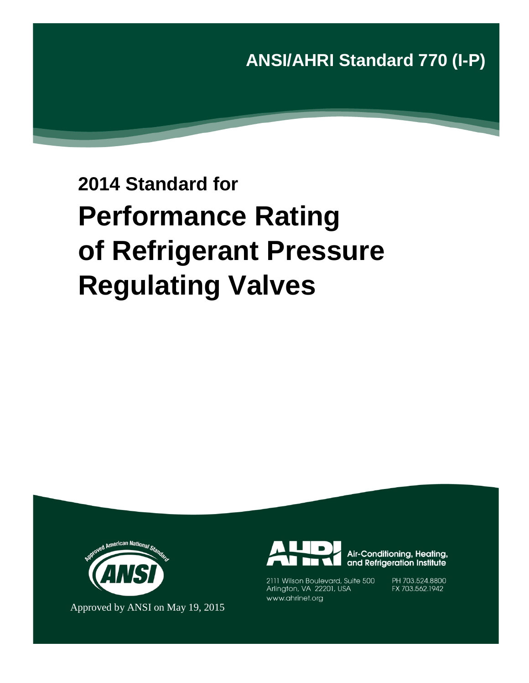**ANSI/AHRI Standard 770 (I-P)** 

# **2014 Standard for Performance Rating of Refrigerant Pressure Regulating Valves**



Approved by ANSI on May 19, 2015



Air-Conditioning, Heating, and Refrigeration Institute

2111 Wilson Boulevard, Suite 500 Arlington, VA 22201, USA www.ahrinet.org

PH 703.524.8800 FX 703.562.1942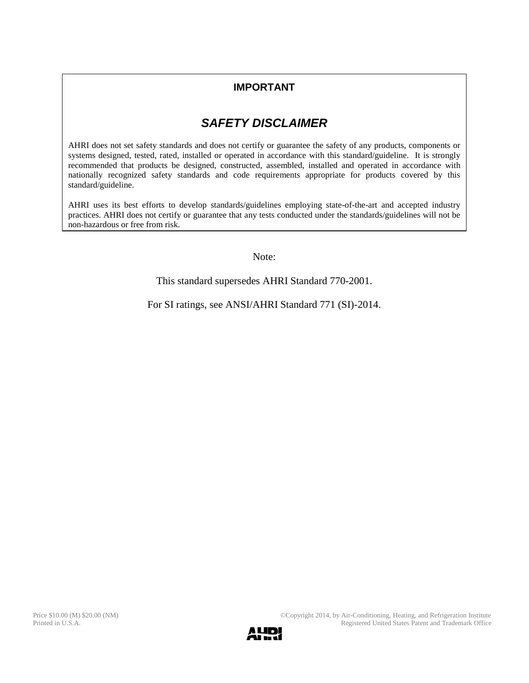## **IMPORTANT**

## *SAFETY DISCLAIMER*

AHRI does not set safety standards and does not certify or guarantee the safety of any products, components or systems designed, tested, rated, installed or operated in accordance with this standard/guideline. It is strongly recommended that products be designed, constructed, assembled, installed and operated in accordance with nationally recognized safety standards and code requirements appropriate for products covered by this standard/guideline.

AHRI uses its best efforts to develop standards/guidelines employing state-of-the-art and accepted industry practices. AHRI does not certify or guarantee that any tests conducted under the standards/guidelines will not be non-hazardous or free from risk.

Note:

This standard supersedes AHRI Standard 770-2001.

For SI ratings, see ANSI/AHRI Standard 771 (SI)-2014.

Printed in U.S.A. Registered United States Patent and Trademark Office

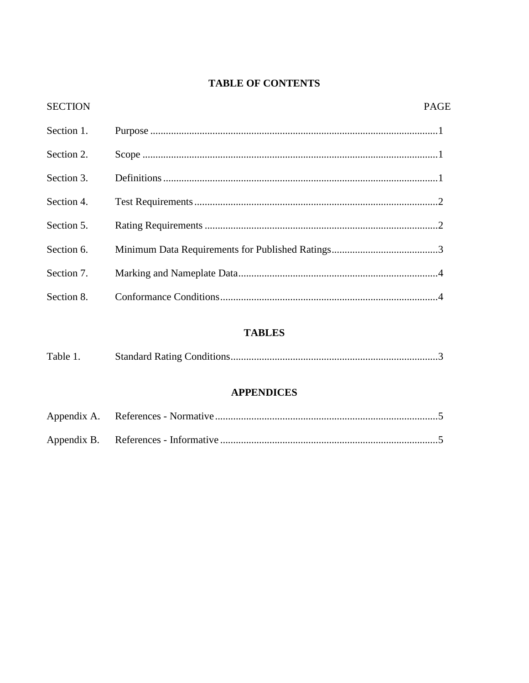## **TABLE OF CONTENTS**

| <b>SECTION</b> | <b>PAGE</b> |
|----------------|-------------|
| Section 1.     |             |
| Section 2.     |             |
| Section 3.     |             |
| Section 4.     |             |
| Section 5.     |             |
| Section 6.     |             |
| Section 7.     |             |
| Section 8.     |             |

## **TABLES**

| Table 1. |  |
|----------|--|
|          |  |

### **APPENDICES**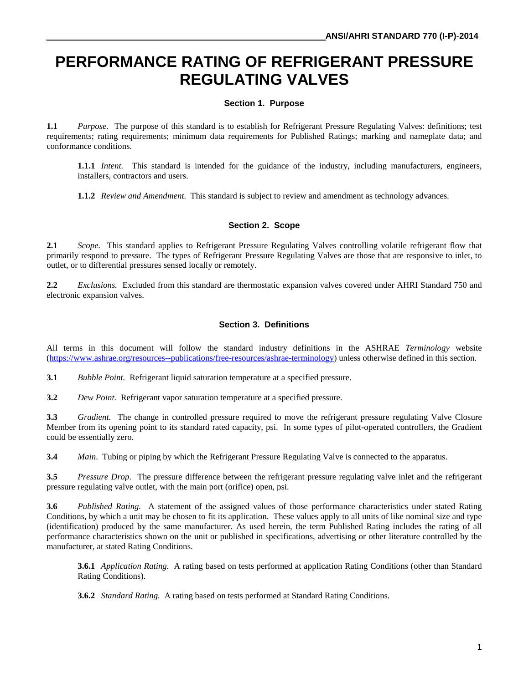# **PERFORMANCE RATING OF REFRIGERANT PRESSURE REGULATING VALVES**

#### **Section 1. Purpose**

**1.1** *Purpose.* The purpose of this standard is to establish for Refrigerant Pressure Regulating Valves: definitions; test requirements; rating requirements; minimum data requirements for Published Ratings; marking and nameplate data; and conformance conditions.

**1.1.1** *Intent.* This standard is intended for the guidance of the industry, including manufacturers, engineers, installers, contractors and users.

**1.1.2** *Review and Amendment.* This standard is subject to review and amendment as technology advances.

#### **Section 2. Scope**

**2.1** *Scope.* This standard applies to Refrigerant Pressure Regulating Valves controlling volatile refrigerant flow that primarily respond to pressure. The types of Refrigerant Pressure Regulating Valves are those that are responsive to inlet, to outlet, or to differential pressures sensed locally or remotely.

**2.2** *Exclusions.* Excluded from this standard are thermostatic expansion valves covered under AHRI Standard 750 and electronic expansion valves.

#### **Section 3. Definitions**

All terms in this document will follow the standard industry definitions in the ASHRAE *Terminology* website [\(https://www.ashrae.org/resources--publications/free-resources/ashrae-terminology\)](https://www.ashrae.org/resources--publications/free-resources/ashrae-terminology) unless otherwise defined in this section.

**3.1** *Bubble Point.* Refrigerant liquid saturation temperature at a specified pressure.

**3.2** *Dew Point.* Refrigerant vapor saturation temperature at a specified pressure.

**3.3** *Gradient.* The change in controlled pressure required to move the refrigerant pressure regulating Valve Closure Member from its opening point to its standard rated capacity, psi. In some types of pilot-operated controllers, the Gradient could be essentially zero.

**3.4** *Main*. Tubing or piping by which the Refrigerant Pressure Regulating Valve is connected to the apparatus.

**3.5** *Pressure Drop.* The pressure difference between the refrigerant pressure regulating valve inlet and the refrigerant pressure regulating valve outlet, with the main port (orifice) open, psi.

**3.6** *Published Rating.* A statement of the assigned values of those performance characteristics under stated Rating Conditions, by which a unit may be chosen to fit its application. These values apply to all units of like nominal size and type (identification) produced by the same manufacturer. As used herein, the term Published Rating includes the rating of all performance characteristics shown on the unit or published in specifications, advertising or other literature controlled by the manufacturer, at stated Rating Conditions.

**3.6.1** *Application Rating.* A rating based on tests performed at application Rating Conditions (other than Standard Rating Conditions).

**3.6.2** *Standard Rating.* A rating based on tests performed at Standard Rating Conditions.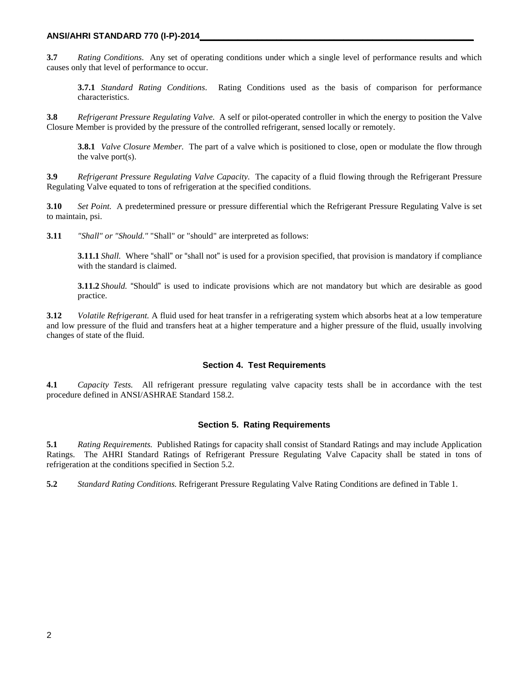#### **ANSI/AHRI STANDARD 770 (I-P)-2014\_\_\_\_\_\_\_\_\_\_\_\_\_\_\_\_\_\_\_\_\_\_\_\_\_\_\_\_\_\_\_\_\_\_\_\_\_\_\_\_\_\_\_\_\_\_\_\_\_\_\_\_\_\_\_\_\_**

**3.7** *Rating Conditions*. Any set of operating conditions under which a single level of performance results and which causes only that level of performance to occur.

**3.7.1** *Standard Rating Conditions*. Rating Conditions used as the basis of comparison for performance characteristics.

**3.8** *Refrigerant Pressure Regulating Valve.* A self or pilot-operated controller in which the energy to position the Valve Closure Member is provided by the pressure of the controlled refrigerant, sensed locally or remotely.

**3.8.1** *Valve Closure Member.* The part of a valve which is positioned to close, open or modulate the flow through the valve port(s).

**3.9** *Refrigerant Pressure Regulating Valve Capacity.* The capacity of a fluid flowing through the Refrigerant Pressure Regulating Valve equated to tons of refrigeration at the specified conditions.

**3.10** *Set Point.* A predetermined pressure or pressure differential which the Refrigerant Pressure Regulating Valve is set to maintain, psi.

**3.11** *"Shall" or "Should."* "Shall" or "should" are interpreted as follows:

**3.11.1** *Shall.* Where "shall" or "shall not" is used for a provision specified, that provision is mandatory if compliance with the standard is claimed.

**3.11.2** *Should.* "Should" is used to indicate provisions which are not mandatory but which are desirable as good practice.

**3.12** *Volatile Refrigerant.* A fluid used for heat transfer in a refrigerating system which absorbs heat at a low temperature and low pressure of the fluid and transfers heat at a higher temperature and a higher pressure of the fluid, usually involving changes of state of the fluid.

#### **Section 4. Test Requirements**

**4.1** *Capacity Tests.* All refrigerant pressure regulating valve capacity tests shall be in accordance with the test procedure defined in ANSI/ASHRAE Standard 158.2.

#### **Section 5. Rating Requirements**

**5.1** *Rating Requirements.* Published Ratings for capacity shall consist of Standard Ratings and may include Application Ratings. The AHRI Standard Ratings of Refrigerant Pressure Regulating Valve Capacity shall be stated in tons of refrigeration at the conditions specified in Section 5.2.

**5.2** *Standard Rating Conditions.* Refrigerant Pressure Regulating Valve Rating Conditions are defined in Table 1.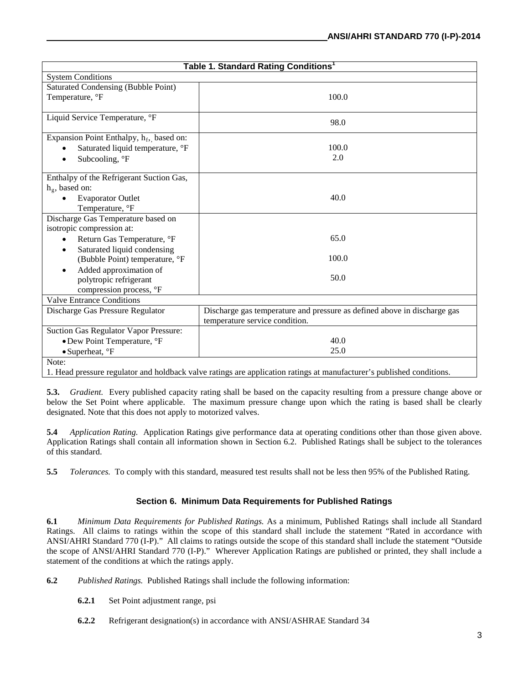| Table 1. Standard Rating Conditions <sup>1</sup>     |                                                                          |  |  |  |
|------------------------------------------------------|--------------------------------------------------------------------------|--|--|--|
| <b>System Conditions</b>                             |                                                                          |  |  |  |
| <b>Saturated Condensing (Bubble Point)</b>           |                                                                          |  |  |  |
| Temperature, °F                                      | 100.0                                                                    |  |  |  |
| Liquid Service Temperature, °F                       |                                                                          |  |  |  |
|                                                      | 98.0                                                                     |  |  |  |
| Expansion Point Enthalpy, h <sub>f</sub> , based on: |                                                                          |  |  |  |
| Saturated liquid temperature, °F                     | 100.0                                                                    |  |  |  |
| Subcooling, °F                                       | 2.0                                                                      |  |  |  |
| Enthalpy of the Refrigerant Suction Gas,             |                                                                          |  |  |  |
| $h_g$ , based on:                                    |                                                                          |  |  |  |
| <b>Evaporator Outlet</b>                             | 40.0                                                                     |  |  |  |
| Temperature, °F                                      |                                                                          |  |  |  |
| Discharge Gas Temperature based on                   |                                                                          |  |  |  |
| isotropic compression at:                            |                                                                          |  |  |  |
| Return Gas Temperature, °F                           | 65.0                                                                     |  |  |  |
| Saturated liquid condensing                          |                                                                          |  |  |  |
| (Bubble Point) temperature, °F                       | 100.0                                                                    |  |  |  |
| Added approximation of                               |                                                                          |  |  |  |
| polytropic refrigerant                               | 50.0                                                                     |  |  |  |
| compression process, °F                              |                                                                          |  |  |  |
| <b>Valve Entrance Conditions</b>                     |                                                                          |  |  |  |
| Discharge Gas Pressure Regulator                     | Discharge gas temperature and pressure as defined above in discharge gas |  |  |  |
|                                                      | temperature service condition.                                           |  |  |  |
| Suction Gas Regulator Vapor Pressure:                |                                                                          |  |  |  |
| • Dew Point Temperature, °F                          | 40.0                                                                     |  |  |  |
| $\bullet$ Superheat, $\degree$ F                     | 25.0                                                                     |  |  |  |
| Note:                                                |                                                                          |  |  |  |

1. Head pressure regulator and holdback valve ratings are application ratings at manufacturer's published conditions.

**5.3.** *Gradient.* Every published capacity rating shall be based on the capacity resulting from a pressure change above or below the Set Point where applicable. The maximum pressure change upon which the rating is based shall be clearly designated. Note that this does not apply to motorized valves.

**5.4** *Application Rating.* Application Ratings give performance data at operating conditions other than those given above. Application Ratings shall contain all information shown in Section 6.2. Published Ratings shall be subject to the tolerances of this standard.

**5.5** *Tolerances.* To comply with this standard, measured test results shall not be less then 95% of the Published Rating.

#### **Section 6. Minimum Data Requirements for Published Ratings**

**6.1** *Minimum Data Requirements for Published Ratings.* As a minimum, Published Ratings shall include all Standard Ratings. All claims to ratings within the scope of this standard shall include the statement "Rated in accordance with ANSI/AHRI Standard 770 (I-P)." All claims to ratings outside the scope of this standard shall include the statement "Outside the scope of ANSI/AHRI Standard 770 (I-P)." Wherever Application Ratings are published or printed, they shall include a statement of the conditions at which the ratings apply.

- **6.2** *Published Ratings.* Published Ratings shall include the following information:
	- **6.2.1** Set Point adjustment range, psi
	- **6.2.2** Refrigerant designation(s) in accordance with ANSI/ASHRAE Standard 34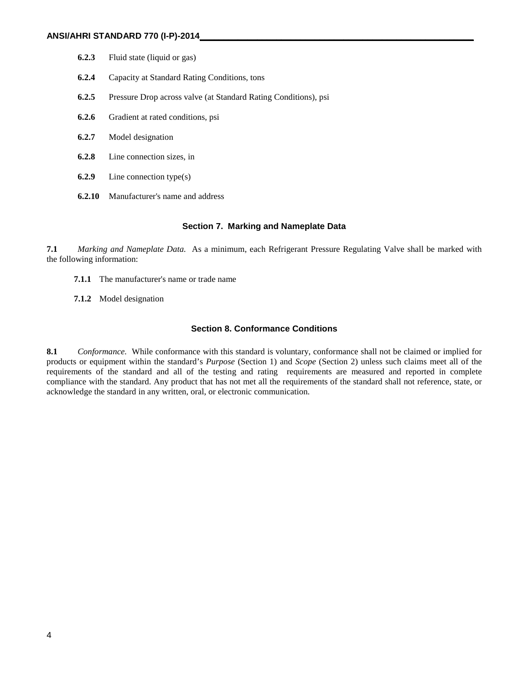- **6.2.3** Fluid state (liquid or gas)
- **6.2.4** Capacity at Standard Rating Conditions, tons
- **6.2.5** Pressure Drop across valve (at Standard Rating Conditions), psi
- **6.2.6** Gradient at rated conditions, psi
- **6.2.7** Model designation
- **6.2.8** Line connection sizes, in
- **6.2.9** Line connection type(s)
- **6.2.10** Manufacturer's name and address

#### **Section 7. Marking and Nameplate Data**

**7.1** *Marking and Nameplate Data.* As a minimum, each Refrigerant Pressure Regulating Valve shall be marked with the following information:

- **7.1.1** The manufacturer's name or trade name
- **7.1.2** Model designation

#### **Section 8. Conformance Conditions**

**8.1** *Conformance.* While conformance with this standard is voluntary, conformance shall not be claimed or implied for products or equipment within the standard's *Purpose* (Section 1) and *Scope* (Section 2) unless such claims meet all of the requirements of the standard and all of the testing and rating requirements are measured and reported in complete compliance with the standard. Any product that has not met all the requirements of the standard shall not reference, state, or acknowledge the standard in any written, oral, or electronic communication.